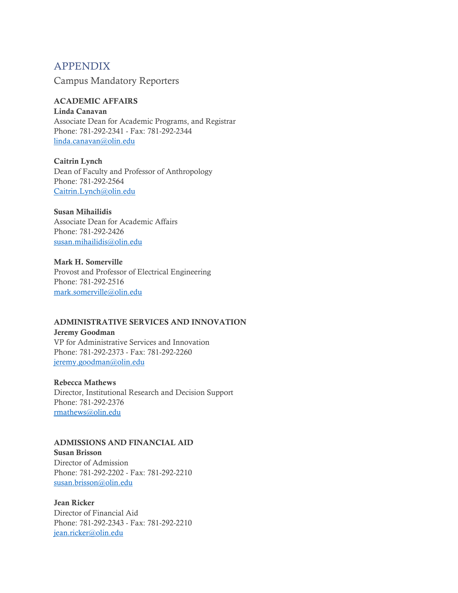# APPENDIX

Campus Mandatory Reporters

## ACADEMIC AFFAIRS

Linda Canavan Associate Dean for Academic Programs, and Registrar Phone: 781-292-2341 - Fax: 781-292-2344 [linda.canavan@olin.edu](mailto:linda.canavan@olin.edu)

Caitrin Lynch Dean of Faculty and Professor of Anthropology Phone: 781-292-2564 [Caitrin.Lynch@olin.edu](mailto:Caitrin.Lynch@olin.edu)

## Susan Mihailidis

Associate Dean for Academic Affairs Phone: 781-292-2426 [susan.mihailidis@olin.edu](mailto:susan.mihailidis@olin.edu)

Mark H. Somerville Provost and Professor of Electrical Engineering Phone: 781-292-2516 [mark.somerville@olin.edu](mailto:mark.somerville@olin.edu)

## ADMINISTRATIVE SERVICES AND INNOVATION

Jeremy Goodman VP for Administrative Services and Innovation Phone: 781-292-2373 - Fax: 781-292-2260 [jeremy.goodman@olin.edu](mailto:jeremy.goodman@olin.edu)

## Rebecca Mathews

Director, Institutional Research and Decision Support Phone: 781-292-2376 [rmathews@olin.edu](mailto:rmathews@olin.edu)

#### ADMISSIONS AND FINANCIAL AID

Susan Brisson Director of Admission Phone: 781-292-2202 - Fax: 781-292-2210 [susan.brisson@olin.edu](mailto:susan.brisson@olin.edu)

Jean Ricker Director of Financial Aid Phone: 781-292-2343 - Fax: 781-292-2210 [jean.ricker@olin.edu](mailto:jean.ricker@olin.edu)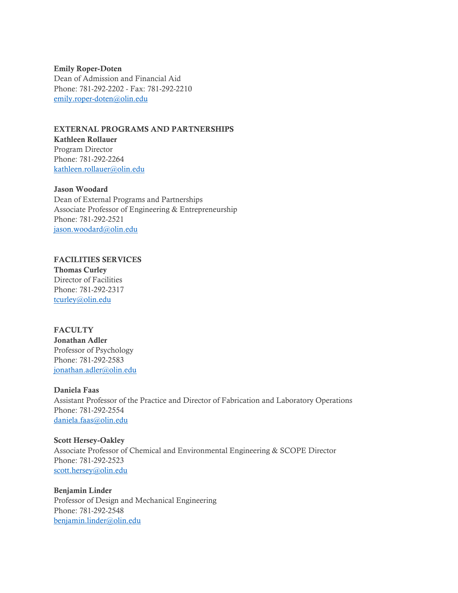Emily Roper-Doten Dean of Admission and Financial Aid Phone: 781-292-2202 - Fax: 781-292-2210 [emily.roper-doten@olin.edu](mailto:emily.roper-doten@olin.edu)

EXTERNAL PROGRAMS AND PARTNERSHIPS Kathleen Rollauer Program Director Phone: 781-292-2264 [kathleen.rollauer@olin.edu](mailto:kathleen.rollauer@olin.edu)

## Jason Woodard

Dean of External Programs and Partnerships Associate Professor of Engineering & Entrepreneurship Phone: 781-292-2521 [jason.woodard@olin.edu](mailto:jason.woodard@olin.edu)

#### FACILITIES SERVICES

Thomas Curley Director of Facilities Phone: 781-292-2317 [tcurley@olin.edu](mailto:tcurley@olin.edu)

## **FACULTY**

Jonathan Adler Professor of Psychology Phone: 781-292-2583 [jonathan.adler@olin.edu](mailto:jonathan.adler@olin.edu)

Daniela Faas

Assistant Professor of the Practice and Director of Fabrication and Laboratory Operations Phone: 781-292-2554 [daniela.faas@olin.edu](mailto:daniela.faas@olin.edu)

Scott Hersey-Oakley Associate Professor of Chemical and Environmental Engineering & SCOPE Director Phone: 781-292-2523 [scott.hersey@olin.edu](mailto:scott.hersey@olin.edu)

Benjamin Linder Professor of Design and Mechanical Engineering Phone: 781-292-2548 [benjamin.linder@olin.edu](mailto:benjamin.linder@olin.edu)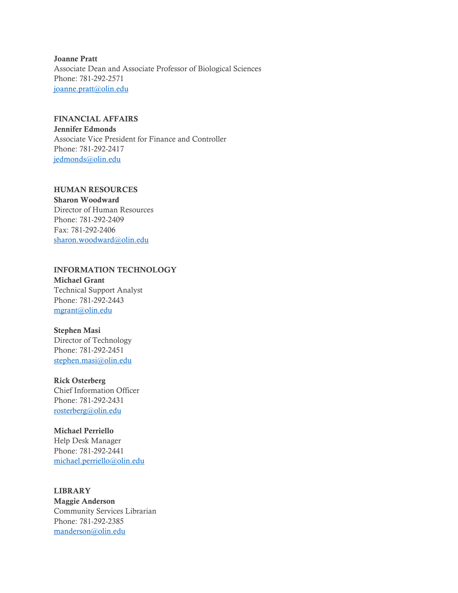Joanne Pratt Associate Dean and Associate Professor of Biological Sciences Phone: 781-292-2571 [joanne.pratt@olin.edu](mailto:joanne.pratt@olin.edu)

## FINANCIAL AFFAIRS

Jennifer Edmonds Associate Vice President for Finance and Controller Phone: 781-292-2417 [jedmonds@olin.edu](mailto:jedmonds@olin.edu)

## HUMAN RESOURCES

Sharon Woodward Director of Human Resources Phone: 781-292-2409 Fax: 781-292-2406 [sharon.woodward@olin.edu](mailto:sharon.woodward@olin.edu)

# INFORMATION TECHNOLOGY

Michael Grant Technical Support Analyst Phone: 781-292-2443 [mgrant@olin.edu](mailto:mgrant@olin.edu)

#### Stephen Masi

Director of Technology Phone: 781-292-2451 [stephen.masi@olin.edu](mailto:stephen.masi@olin.edu)

## Rick Osterberg

Chief Information Officer Phone: 781-292-2431 [rosterberg@olin.edu](mailto:rosterberg@olin.edu)

#### Michael Perriello

Help Desk Manager Phone: 781-292-2441 [michael.perriello@olin.edu](mailto:michael.perriello@olin.edu)

## LIBRARY

Maggie Anderson Community Services Librarian Phone: 781-292-2385 [manderson@olin.edu](mailto:manderson@olin.edu)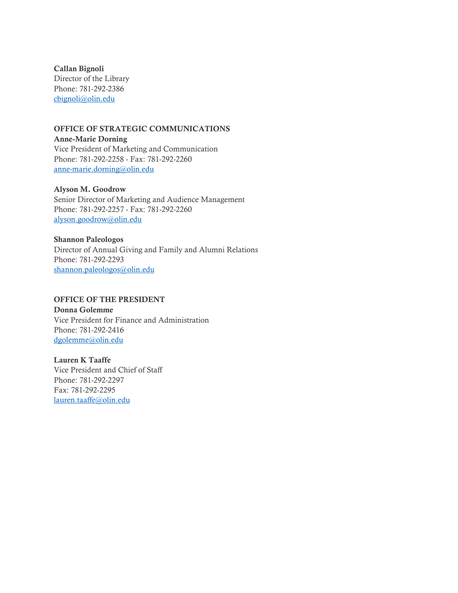Callan Bignoli Director of the Library Phone: 781-292-2386 [cbignoli@olin.edu](mailto:cbignoli@olin.edu)

# OFFICE OF STRATEGIC COMMUNICATIONS

Anne-Marie Dorning Vice President of Marketing and Communication Phone: 781-292-2258 - Fax: 781-292-2260 [anne-marie.dorning@olin.edu](mailto:anne-marie.dorning@olin.edu)

## Alyson M. Goodrow

Senior Director of Marketing and Audience Management Phone: 781-292-2257 - Fax: 781-292-2260 [alyson.goodrow@olin.edu](mailto:alyson.goodrow@olin.edu)

# Shannon Paleologos

Director of Annual Giving and Family and Alumni Relations Phone: 781-292-2293 [shannon.paleologos@olin.edu](mailto:shannon.paleologos@olin.edu)

## OFFICE OF THE PRESIDENT

Donna Golemme Vice President for Finance and Administration Phone: 781-292-2416 [dgolemme@olin.edu](mailto:dgolemme@olin.edu)

## Lauren K Taaffe Vice President and Chief of Staff Phone: 781-292-2297 Fax: 781-292-2295 [lauren.taaffe@olin.edu](mailto:lauren.taaffe@olin.edu)